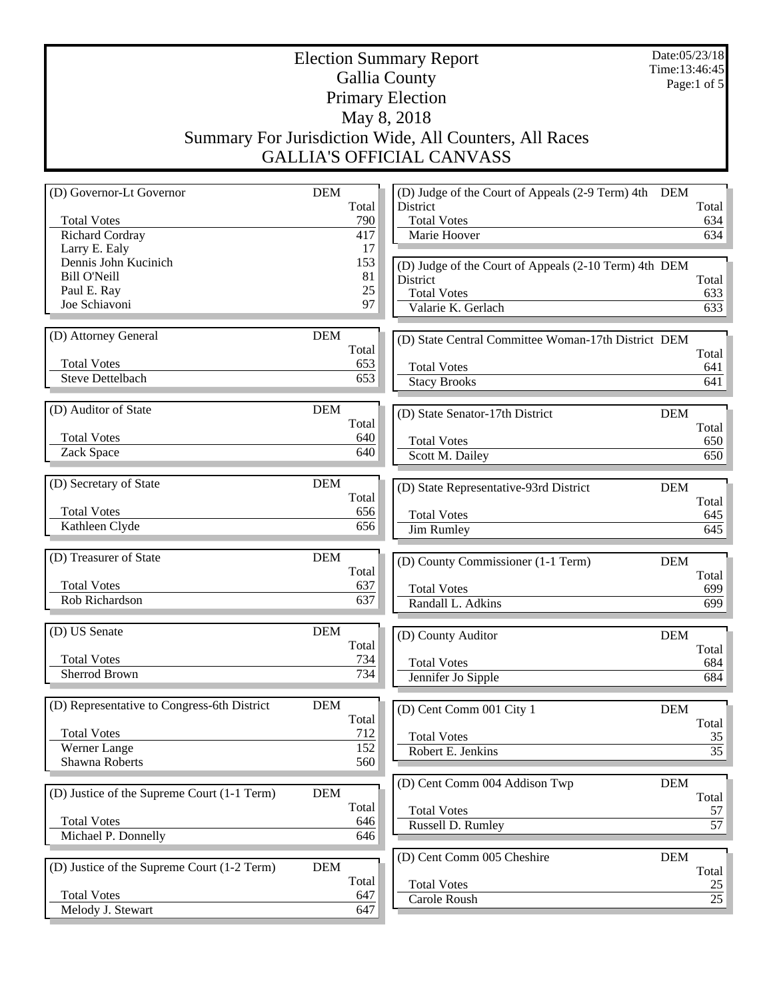## Election Summary Report Gallia County Primary Election May 8, 2018 Summary For Jurisdiction Wide, All Counters, All Races GALLIA'S OFFICIAL CANVASS

Date:05/23/18 Time:13:46:45 Page:1 of 5

| (D) Governor-Lt Governor                    | <b>DEM</b> | (D) Judge of the Court of Appeals (2-9 Term) 4th DEM  |            |       |
|---------------------------------------------|------------|-------------------------------------------------------|------------|-------|
|                                             | Total      | District                                              |            | Total |
| <b>Total Votes</b>                          | 790        | <b>Total Votes</b>                                    |            | 634   |
| <b>Richard Cordray</b>                      | 417        | Marie Hoover                                          |            | 634   |
| Larry E. Ealy                               | 17         |                                                       |            |       |
| Dennis John Kucinich                        | 153        | (D) Judge of the Court of Appeals (2-10 Term) 4th DEM |            |       |
| <b>Bill O'Neill</b>                         | 81         | District                                              |            | Total |
| Paul E. Ray                                 | 25         | <b>Total Votes</b>                                    |            | 633   |
| Joe Schiavoni                               | 97         | Valarie K. Gerlach                                    |            | 633   |
|                                             |            |                                                       |            |       |
| (D) Attorney General                        | <b>DEM</b> |                                                       |            |       |
|                                             | Total      | (D) State Central Committee Woman-17th District DEM   |            |       |
| <b>Total Votes</b>                          | 653        |                                                       |            | Total |
| <b>Steve Dettelbach</b>                     | 653        | <b>Total Votes</b>                                    |            | 641   |
|                                             |            | <b>Stacy Brooks</b>                                   |            | 641   |
|                                             |            |                                                       |            |       |
| (D) Auditor of State                        | <b>DEM</b> | (D) State Senator-17th District                       | <b>DEM</b> |       |
|                                             | Total      |                                                       |            | Total |
| <b>Total Votes</b>                          | 640        | <b>Total Votes</b>                                    |            | 650   |
| Zack Space                                  | 640        | Scott M. Dailey                                       |            | 650   |
|                                             |            |                                                       |            |       |
| (D) Secretary of State                      | <b>DEM</b> |                                                       |            |       |
|                                             | Total      | (D) State Representative-93rd District                | <b>DEM</b> |       |
| <b>Total Votes</b>                          | 656        |                                                       |            | Total |
| Kathleen Clyde                              | 656        | <b>Total Votes</b>                                    |            | 645   |
|                                             |            | <b>Jim Rumley</b>                                     |            | 645   |
|                                             |            |                                                       |            |       |
| (D) Treasurer of State                      | <b>DEM</b> | (D) County Commissioner (1-1 Term)                    | <b>DEM</b> |       |
|                                             | Total      |                                                       |            | Total |
| <b>Total Votes</b>                          | 637        | <b>Total Votes</b>                                    |            | 699   |
| Rob Richardson                              | 637        | Randall L. Adkins                                     |            | 699   |
|                                             |            |                                                       |            |       |
| (D) US Senate                               | <b>DEM</b> | (D) County Auditor                                    | <b>DEM</b> |       |
|                                             | Total      |                                                       |            | Total |
| <b>Total Votes</b>                          | 734        | <b>Total Votes</b>                                    |            | 684   |
| <b>Sherrod Brown</b>                        | 734        | Jennifer Jo Sipple                                    |            | 684   |
|                                             |            |                                                       |            |       |
| (D) Representative to Congress-6th District | <b>DEM</b> |                                                       |            |       |
|                                             | Total      | (D) Cent Comm 001 City 1                              | <b>DEM</b> |       |
|                                             |            |                                                       |            | Total |
| <b>Total Votes</b>                          | 712        | <b>Total Votes</b>                                    |            | 35    |
| Werner Lange                                | 152        | Robert E. Jenkins                                     |            | 35    |
| Shawna Roberts                              | 560        |                                                       |            |       |
|                                             |            | (D) Cent Comm 004 Addison Twp                         | DEM        |       |
| (D) Justice of the Supreme Court (1-1 Term) |            |                                                       |            | Total |
|                                             | <b>DEM</b> |                                                       |            |       |
|                                             | Total      |                                                       |            |       |
| <b>Total Votes</b>                          |            | <b>Total Votes</b>                                    |            | 57    |
|                                             | 646        | Russell D. Rumley                                     |            |       |
| Michael P. Donnelly                         | 646        |                                                       |            | 57    |
|                                             |            | (D) Cent Comm 005 Cheshire                            | <b>DEM</b> |       |
| (D) Justice of the Supreme Court (1-2 Term) | <b>DEM</b> |                                                       |            | Total |
|                                             | Total      | <b>Total Votes</b>                                    |            | 25    |
| <b>Total Votes</b><br>Melody J. Stewart     | 647<br>647 | Carole Roush                                          |            | 25    |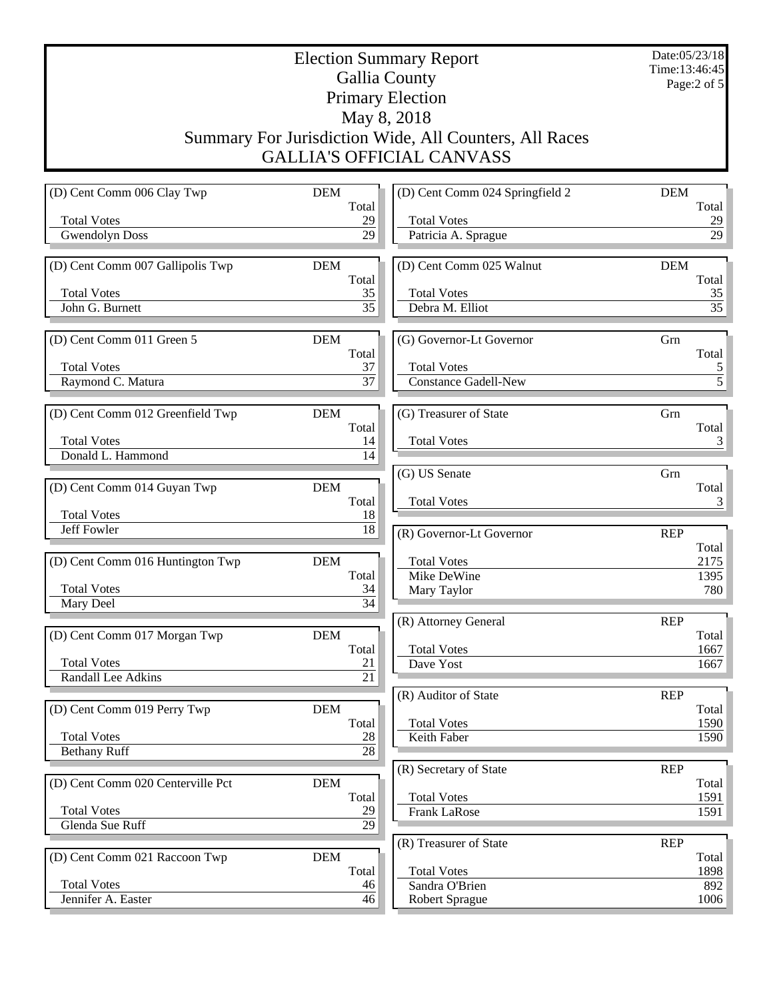Election Summary Report Gallia County Primary Election May 8, 2018 Summary For Jurisdiction Wide, All Counters, All Races GALLIA'S OFFICIAL CANVASS

Date:05/23/18 Time:13:46:45 Page:2 of 5

| (D) Cent Comm 006 Clay Twp        | <b>DEM</b>            | (D) Cent Comm 024 Springfield 2   | <b>DEM</b>          |
|-----------------------------------|-----------------------|-----------------------------------|---------------------|
|                                   | Total                 |                                   | Total               |
| <b>Total Votes</b>                | 29                    | <b>Total Votes</b>                | 29                  |
| <b>Gwendolyn Doss</b>             | 29                    | Patricia A. Sprague               | 29                  |
| (D) Cent Comm 007 Gallipolis Twp  | <b>DEM</b>            | (D) Cent Comm 025 Walnut          | <b>DEM</b>          |
|                                   | Total                 |                                   | Total               |
| <b>Total Votes</b>                | 35                    | <b>Total Votes</b>                | 35                  |
| John G. Burnett                   | $\overline{35}$       | Debra M. Elliot                   | 35                  |
| (D) Cent Comm 011 Green 5         | <b>DEM</b>            | (G) Governor-Lt Governor          | Grn                 |
|                                   | Total                 |                                   | Total               |
| <b>Total Votes</b>                | 37                    | <b>Total Votes</b>                | $\overline{5}$      |
| Raymond C. Matura                 | $\overline{37}$       | <b>Constance Gadell-New</b>       | $\overline{5}$      |
|                                   | <b>DEM</b>            | (G) Treasurer of State            | Grn                 |
| (D) Cent Comm 012 Greenfield Twp  | Total                 |                                   | Total               |
| <b>Total Votes</b>                | 14                    | <b>Total Votes</b>                | 3                   |
| Donald L. Hammond                 | 14                    |                                   |                     |
|                                   |                       | (G) US Senate                     | Grn                 |
| (D) Cent Comm 014 Guyan Twp       | <b>DEM</b>            |                                   | Total               |
| <b>Total Votes</b>                | Total<br>18           | <b>Total Votes</b>                | 3                   |
| Jeff Fowler                       | 18                    | (R) Governor-Lt Governor          | <b>REP</b>          |
|                                   |                       |                                   | Total               |
| (D) Cent Comm 016 Huntington Twp  | <b>DEM</b>            | <b>Total Votes</b>                | 2175                |
|                                   | Total                 | Mike DeWine                       | 1395                |
| <b>Total Votes</b>                | 34<br>$\overline{34}$ | Mary Taylor                       | 780                 |
| Mary Deel                         |                       |                                   |                     |
| (D) Cent Comm 017 Morgan Twp      | <b>DEM</b>            | (R) Attorney General              | <b>REP</b><br>Total |
|                                   | Total                 | <b>Total Votes</b>                | 1667                |
| <b>Total Votes</b>                | 21                    | Dave Yost                         | 1667                |
| Randall Lee Adkins                | 21                    |                                   |                     |
|                                   |                       | (R) Auditor of State              | <b>REP</b>          |
| (D) Cent Comm 019 Perry Twp       | <b>DEM</b>            |                                   | Total               |
| <b>Total Votes</b>                | Total<br>28           | <b>Total Votes</b><br>Keith Faber | 1590<br>1590        |
| <b>Bethany Ruff</b>               | $\overline{28}$       |                                   |                     |
|                                   |                       | (R) Secretary of State            | <b>REP</b>          |
| (D) Cent Comm 020 Centerville Pct | DEM                   |                                   | Total               |
|                                   | Total                 | <b>Total Votes</b>                | 1591                |
| <b>Total Votes</b>                | 29                    | Frank LaRose                      | 1591                |
| Glenda Sue Ruff                   | 29                    |                                   |                     |
|                                   |                       | (R) Treasurer of State            | <b>REP</b>          |
| (D) Cent Comm 021 Raccoon Twp     | $DEM$<br>Total        | <b>Total Votes</b>                | Total<br>1898       |
| <b>Total Votes</b>                | 46                    | Sandra O'Brien                    | 892                 |
| Jennifer A. Easter                | 46                    | <b>Robert Sprague</b>             | 1006                |
|                                   |                       |                                   |                     |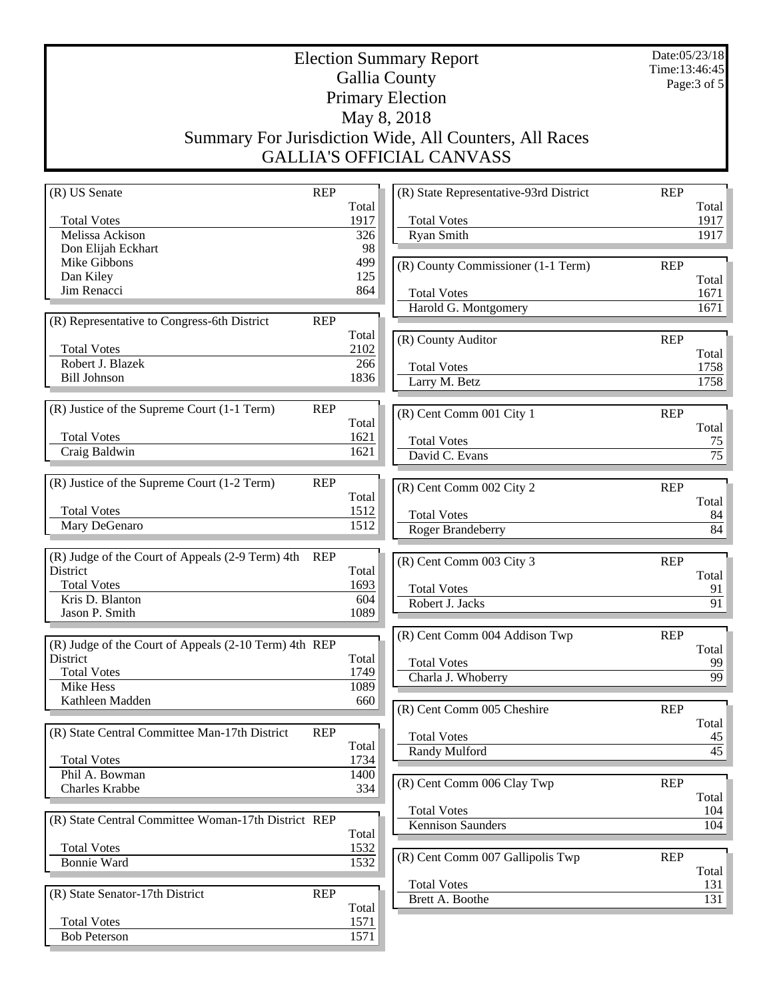Date:05/23/18 Time:13:46:45 Page:3 of 5

## Election Summary Report Gallia County Primary Election May 8, 2018 Summary For Jurisdiction Wide, All Counters, All Races GALLIA'S OFFICIAL CANVASS

| Total<br>Total<br><b>Total Votes</b><br>1917<br><b>Total Votes</b><br>1917<br>Melissa Ackison<br>Ryan Smith<br>1917<br>326<br>98<br>Don Elijah Eckhart<br>499<br>Mike Gibbons<br>(R) County Commissioner (1-1 Term)<br><b>REP</b><br>Dan Kiley<br>125<br>Total<br>Jim Renacci<br>864<br><b>Total Votes</b><br>1671<br>Harold G. Montgomery<br>1671<br>(R) Representative to Congress-6th District<br><b>REP</b><br>Total<br>(R) County Auditor<br><b>REP</b><br><b>Total Votes</b><br>2102<br>Total<br>Robert J. Blazek<br>266<br><b>Total Votes</b><br>1758<br><b>Bill Johnson</b><br>1836<br>Larry M. Betz<br>1758<br>(R) Justice of the Supreme Court (1-1 Term)<br><b>REP</b><br>(R) Cent Comm 001 City 1<br><b>REP</b><br>Total<br>Total<br><b>Total Votes</b><br>1621<br><b>Total Votes</b><br>75<br>Craig Baldwin<br>1621<br>David C. Evans<br>75<br>(R) Justice of the Supreme Court (1-2 Term)<br><b>REP</b><br><b>REP</b><br>(R) Cent Comm 002 City 2<br>Total<br>Total<br><b>Total Votes</b><br>1512<br><b>Total Votes</b><br>84<br>1512<br>Mary DeGenaro<br>Roger Brandeberry<br>84<br>(R) Judge of the Court of Appeals (2-9 Term) 4th<br>REP<br>(R) Cent Comm 003 City 3<br><b>REP</b><br>District<br>Total<br>Total<br><b>Total Votes</b><br>1693<br><b>Total Votes</b><br>91<br>Kris D. Blanton<br>604<br>Robert J. Jacks<br>91<br>Jason P. Smith<br>1089<br>(R) Cent Comm 004 Addison Twp<br><b>REP</b><br>(R) Judge of the Court of Appeals (2-10 Term) 4th REP<br>Total<br>District<br>Total<br><b>Total Votes</b><br>99<br><b>Total Votes</b><br>1749<br>99<br>Charla J. Whoberry<br>1089<br>Mike Hess<br>Kathleen Madden<br>660<br>(R) Cent Comm 005 Cheshire<br><b>REP</b><br>Total<br>(R) State Central Committee Man-17th District<br><b>REP</b><br><b>Total Votes</b><br>$\frac{45}{5}$<br>Total<br>$\overline{45}$<br>Randy Mulford<br>1734<br><b>Total Votes</b><br>Phil A. Bowman<br>1400<br>(R) Cent Comm 006 Clay Twp<br><b>REP</b><br>Charles Krabbe<br>334<br>Total<br><b>Total Votes</b><br>104<br>(R) State Central Committee Woman-17th District REP<br>Kennison Saunders<br>104<br>Total<br><b>Total Votes</b><br>1532<br>(R) Cent Comm 007 Gallipolis Twp<br><b>REP</b><br>1532<br><b>Bonnie Ward</b><br>Total<br><b>Total Votes</b><br>131<br><b>REP</b><br>(R) State Senator-17th District<br>Brett A. Boothe<br>131<br>Total<br><b>Total Votes</b><br>1571 | (R) US Senate       | <b>REP</b> |      | (R) State Representative-93rd District | <b>REP</b> |  |
|----------------------------------------------------------------------------------------------------------------------------------------------------------------------------------------------------------------------------------------------------------------------------------------------------------------------------------------------------------------------------------------------------------------------------------------------------------------------------------------------------------------------------------------------------------------------------------------------------------------------------------------------------------------------------------------------------------------------------------------------------------------------------------------------------------------------------------------------------------------------------------------------------------------------------------------------------------------------------------------------------------------------------------------------------------------------------------------------------------------------------------------------------------------------------------------------------------------------------------------------------------------------------------------------------------------------------------------------------------------------------------------------------------------------------------------------------------------------------------------------------------------------------------------------------------------------------------------------------------------------------------------------------------------------------------------------------------------------------------------------------------------------------------------------------------------------------------------------------------------------------------------------------------------------------------------------------------------------------------------------------------------------------------------------------------------------------------------------------------------------------------------------------------------------------------------------------------------------------------------------------------------------------------------------------------------------------------------------------------------------------------------------------|---------------------|------------|------|----------------------------------------|------------|--|
|                                                                                                                                                                                                                                                                                                                                                                                                                                                                                                                                                                                                                                                                                                                                                                                                                                                                                                                                                                                                                                                                                                                                                                                                                                                                                                                                                                                                                                                                                                                                                                                                                                                                                                                                                                                                                                                                                                                                                                                                                                                                                                                                                                                                                                                                                                                                                                                                    |                     |            |      |                                        |            |  |
|                                                                                                                                                                                                                                                                                                                                                                                                                                                                                                                                                                                                                                                                                                                                                                                                                                                                                                                                                                                                                                                                                                                                                                                                                                                                                                                                                                                                                                                                                                                                                                                                                                                                                                                                                                                                                                                                                                                                                                                                                                                                                                                                                                                                                                                                                                                                                                                                    |                     |            |      |                                        |            |  |
|                                                                                                                                                                                                                                                                                                                                                                                                                                                                                                                                                                                                                                                                                                                                                                                                                                                                                                                                                                                                                                                                                                                                                                                                                                                                                                                                                                                                                                                                                                                                                                                                                                                                                                                                                                                                                                                                                                                                                                                                                                                                                                                                                                                                                                                                                                                                                                                                    |                     |            |      |                                        |            |  |
|                                                                                                                                                                                                                                                                                                                                                                                                                                                                                                                                                                                                                                                                                                                                                                                                                                                                                                                                                                                                                                                                                                                                                                                                                                                                                                                                                                                                                                                                                                                                                                                                                                                                                                                                                                                                                                                                                                                                                                                                                                                                                                                                                                                                                                                                                                                                                                                                    |                     |            |      |                                        |            |  |
|                                                                                                                                                                                                                                                                                                                                                                                                                                                                                                                                                                                                                                                                                                                                                                                                                                                                                                                                                                                                                                                                                                                                                                                                                                                                                                                                                                                                                                                                                                                                                                                                                                                                                                                                                                                                                                                                                                                                                                                                                                                                                                                                                                                                                                                                                                                                                                                                    |                     |            |      |                                        |            |  |
|                                                                                                                                                                                                                                                                                                                                                                                                                                                                                                                                                                                                                                                                                                                                                                                                                                                                                                                                                                                                                                                                                                                                                                                                                                                                                                                                                                                                                                                                                                                                                                                                                                                                                                                                                                                                                                                                                                                                                                                                                                                                                                                                                                                                                                                                                                                                                                                                    |                     |            |      |                                        |            |  |
|                                                                                                                                                                                                                                                                                                                                                                                                                                                                                                                                                                                                                                                                                                                                                                                                                                                                                                                                                                                                                                                                                                                                                                                                                                                                                                                                                                                                                                                                                                                                                                                                                                                                                                                                                                                                                                                                                                                                                                                                                                                                                                                                                                                                                                                                                                                                                                                                    |                     |            |      |                                        |            |  |
|                                                                                                                                                                                                                                                                                                                                                                                                                                                                                                                                                                                                                                                                                                                                                                                                                                                                                                                                                                                                                                                                                                                                                                                                                                                                                                                                                                                                                                                                                                                                                                                                                                                                                                                                                                                                                                                                                                                                                                                                                                                                                                                                                                                                                                                                                                                                                                                                    |                     |            |      |                                        |            |  |
|                                                                                                                                                                                                                                                                                                                                                                                                                                                                                                                                                                                                                                                                                                                                                                                                                                                                                                                                                                                                                                                                                                                                                                                                                                                                                                                                                                                                                                                                                                                                                                                                                                                                                                                                                                                                                                                                                                                                                                                                                                                                                                                                                                                                                                                                                                                                                                                                    |                     |            |      |                                        |            |  |
|                                                                                                                                                                                                                                                                                                                                                                                                                                                                                                                                                                                                                                                                                                                                                                                                                                                                                                                                                                                                                                                                                                                                                                                                                                                                                                                                                                                                                                                                                                                                                                                                                                                                                                                                                                                                                                                                                                                                                                                                                                                                                                                                                                                                                                                                                                                                                                                                    |                     |            |      |                                        |            |  |
|                                                                                                                                                                                                                                                                                                                                                                                                                                                                                                                                                                                                                                                                                                                                                                                                                                                                                                                                                                                                                                                                                                                                                                                                                                                                                                                                                                                                                                                                                                                                                                                                                                                                                                                                                                                                                                                                                                                                                                                                                                                                                                                                                                                                                                                                                                                                                                                                    |                     |            |      |                                        |            |  |
|                                                                                                                                                                                                                                                                                                                                                                                                                                                                                                                                                                                                                                                                                                                                                                                                                                                                                                                                                                                                                                                                                                                                                                                                                                                                                                                                                                                                                                                                                                                                                                                                                                                                                                                                                                                                                                                                                                                                                                                                                                                                                                                                                                                                                                                                                                                                                                                                    |                     |            |      |                                        |            |  |
|                                                                                                                                                                                                                                                                                                                                                                                                                                                                                                                                                                                                                                                                                                                                                                                                                                                                                                                                                                                                                                                                                                                                                                                                                                                                                                                                                                                                                                                                                                                                                                                                                                                                                                                                                                                                                                                                                                                                                                                                                                                                                                                                                                                                                                                                                                                                                                                                    |                     |            |      |                                        |            |  |
|                                                                                                                                                                                                                                                                                                                                                                                                                                                                                                                                                                                                                                                                                                                                                                                                                                                                                                                                                                                                                                                                                                                                                                                                                                                                                                                                                                                                                                                                                                                                                                                                                                                                                                                                                                                                                                                                                                                                                                                                                                                                                                                                                                                                                                                                                                                                                                                                    |                     |            |      |                                        |            |  |
|                                                                                                                                                                                                                                                                                                                                                                                                                                                                                                                                                                                                                                                                                                                                                                                                                                                                                                                                                                                                                                                                                                                                                                                                                                                                                                                                                                                                                                                                                                                                                                                                                                                                                                                                                                                                                                                                                                                                                                                                                                                                                                                                                                                                                                                                                                                                                                                                    |                     |            |      |                                        |            |  |
|                                                                                                                                                                                                                                                                                                                                                                                                                                                                                                                                                                                                                                                                                                                                                                                                                                                                                                                                                                                                                                                                                                                                                                                                                                                                                                                                                                                                                                                                                                                                                                                                                                                                                                                                                                                                                                                                                                                                                                                                                                                                                                                                                                                                                                                                                                                                                                                                    |                     |            |      |                                        |            |  |
|                                                                                                                                                                                                                                                                                                                                                                                                                                                                                                                                                                                                                                                                                                                                                                                                                                                                                                                                                                                                                                                                                                                                                                                                                                                                                                                                                                                                                                                                                                                                                                                                                                                                                                                                                                                                                                                                                                                                                                                                                                                                                                                                                                                                                                                                                                                                                                                                    |                     |            |      |                                        |            |  |
|                                                                                                                                                                                                                                                                                                                                                                                                                                                                                                                                                                                                                                                                                                                                                                                                                                                                                                                                                                                                                                                                                                                                                                                                                                                                                                                                                                                                                                                                                                                                                                                                                                                                                                                                                                                                                                                                                                                                                                                                                                                                                                                                                                                                                                                                                                                                                                                                    |                     |            |      |                                        |            |  |
|                                                                                                                                                                                                                                                                                                                                                                                                                                                                                                                                                                                                                                                                                                                                                                                                                                                                                                                                                                                                                                                                                                                                                                                                                                                                                                                                                                                                                                                                                                                                                                                                                                                                                                                                                                                                                                                                                                                                                                                                                                                                                                                                                                                                                                                                                                                                                                                                    |                     |            |      |                                        |            |  |
|                                                                                                                                                                                                                                                                                                                                                                                                                                                                                                                                                                                                                                                                                                                                                                                                                                                                                                                                                                                                                                                                                                                                                                                                                                                                                                                                                                                                                                                                                                                                                                                                                                                                                                                                                                                                                                                                                                                                                                                                                                                                                                                                                                                                                                                                                                                                                                                                    |                     |            |      |                                        |            |  |
|                                                                                                                                                                                                                                                                                                                                                                                                                                                                                                                                                                                                                                                                                                                                                                                                                                                                                                                                                                                                                                                                                                                                                                                                                                                                                                                                                                                                                                                                                                                                                                                                                                                                                                                                                                                                                                                                                                                                                                                                                                                                                                                                                                                                                                                                                                                                                                                                    |                     |            |      |                                        |            |  |
|                                                                                                                                                                                                                                                                                                                                                                                                                                                                                                                                                                                                                                                                                                                                                                                                                                                                                                                                                                                                                                                                                                                                                                                                                                                                                                                                                                                                                                                                                                                                                                                                                                                                                                                                                                                                                                                                                                                                                                                                                                                                                                                                                                                                                                                                                                                                                                                                    |                     |            |      |                                        |            |  |
|                                                                                                                                                                                                                                                                                                                                                                                                                                                                                                                                                                                                                                                                                                                                                                                                                                                                                                                                                                                                                                                                                                                                                                                                                                                                                                                                                                                                                                                                                                                                                                                                                                                                                                                                                                                                                                                                                                                                                                                                                                                                                                                                                                                                                                                                                                                                                                                                    |                     |            |      |                                        |            |  |
|                                                                                                                                                                                                                                                                                                                                                                                                                                                                                                                                                                                                                                                                                                                                                                                                                                                                                                                                                                                                                                                                                                                                                                                                                                                                                                                                                                                                                                                                                                                                                                                                                                                                                                                                                                                                                                                                                                                                                                                                                                                                                                                                                                                                                                                                                                                                                                                                    |                     |            |      |                                        |            |  |
|                                                                                                                                                                                                                                                                                                                                                                                                                                                                                                                                                                                                                                                                                                                                                                                                                                                                                                                                                                                                                                                                                                                                                                                                                                                                                                                                                                                                                                                                                                                                                                                                                                                                                                                                                                                                                                                                                                                                                                                                                                                                                                                                                                                                                                                                                                                                                                                                    |                     |            |      |                                        |            |  |
|                                                                                                                                                                                                                                                                                                                                                                                                                                                                                                                                                                                                                                                                                                                                                                                                                                                                                                                                                                                                                                                                                                                                                                                                                                                                                                                                                                                                                                                                                                                                                                                                                                                                                                                                                                                                                                                                                                                                                                                                                                                                                                                                                                                                                                                                                                                                                                                                    |                     |            |      |                                        |            |  |
|                                                                                                                                                                                                                                                                                                                                                                                                                                                                                                                                                                                                                                                                                                                                                                                                                                                                                                                                                                                                                                                                                                                                                                                                                                                                                                                                                                                                                                                                                                                                                                                                                                                                                                                                                                                                                                                                                                                                                                                                                                                                                                                                                                                                                                                                                                                                                                                                    |                     |            |      |                                        |            |  |
|                                                                                                                                                                                                                                                                                                                                                                                                                                                                                                                                                                                                                                                                                                                                                                                                                                                                                                                                                                                                                                                                                                                                                                                                                                                                                                                                                                                                                                                                                                                                                                                                                                                                                                                                                                                                                                                                                                                                                                                                                                                                                                                                                                                                                                                                                                                                                                                                    |                     |            |      |                                        |            |  |
|                                                                                                                                                                                                                                                                                                                                                                                                                                                                                                                                                                                                                                                                                                                                                                                                                                                                                                                                                                                                                                                                                                                                                                                                                                                                                                                                                                                                                                                                                                                                                                                                                                                                                                                                                                                                                                                                                                                                                                                                                                                                                                                                                                                                                                                                                                                                                                                                    |                     |            |      |                                        |            |  |
|                                                                                                                                                                                                                                                                                                                                                                                                                                                                                                                                                                                                                                                                                                                                                                                                                                                                                                                                                                                                                                                                                                                                                                                                                                                                                                                                                                                                                                                                                                                                                                                                                                                                                                                                                                                                                                                                                                                                                                                                                                                                                                                                                                                                                                                                                                                                                                                                    |                     |            |      |                                        |            |  |
|                                                                                                                                                                                                                                                                                                                                                                                                                                                                                                                                                                                                                                                                                                                                                                                                                                                                                                                                                                                                                                                                                                                                                                                                                                                                                                                                                                                                                                                                                                                                                                                                                                                                                                                                                                                                                                                                                                                                                                                                                                                                                                                                                                                                                                                                                                                                                                                                    |                     |            |      |                                        |            |  |
|                                                                                                                                                                                                                                                                                                                                                                                                                                                                                                                                                                                                                                                                                                                                                                                                                                                                                                                                                                                                                                                                                                                                                                                                                                                                                                                                                                                                                                                                                                                                                                                                                                                                                                                                                                                                                                                                                                                                                                                                                                                                                                                                                                                                                                                                                                                                                                                                    |                     |            |      |                                        |            |  |
|                                                                                                                                                                                                                                                                                                                                                                                                                                                                                                                                                                                                                                                                                                                                                                                                                                                                                                                                                                                                                                                                                                                                                                                                                                                                                                                                                                                                                                                                                                                                                                                                                                                                                                                                                                                                                                                                                                                                                                                                                                                                                                                                                                                                                                                                                                                                                                                                    |                     |            |      |                                        |            |  |
|                                                                                                                                                                                                                                                                                                                                                                                                                                                                                                                                                                                                                                                                                                                                                                                                                                                                                                                                                                                                                                                                                                                                                                                                                                                                                                                                                                                                                                                                                                                                                                                                                                                                                                                                                                                                                                                                                                                                                                                                                                                                                                                                                                                                                                                                                                                                                                                                    |                     |            |      |                                        |            |  |
|                                                                                                                                                                                                                                                                                                                                                                                                                                                                                                                                                                                                                                                                                                                                                                                                                                                                                                                                                                                                                                                                                                                                                                                                                                                                                                                                                                                                                                                                                                                                                                                                                                                                                                                                                                                                                                                                                                                                                                                                                                                                                                                                                                                                                                                                                                                                                                                                    |                     |            |      |                                        |            |  |
|                                                                                                                                                                                                                                                                                                                                                                                                                                                                                                                                                                                                                                                                                                                                                                                                                                                                                                                                                                                                                                                                                                                                                                                                                                                                                                                                                                                                                                                                                                                                                                                                                                                                                                                                                                                                                                                                                                                                                                                                                                                                                                                                                                                                                                                                                                                                                                                                    |                     |            |      |                                        |            |  |
|                                                                                                                                                                                                                                                                                                                                                                                                                                                                                                                                                                                                                                                                                                                                                                                                                                                                                                                                                                                                                                                                                                                                                                                                                                                                                                                                                                                                                                                                                                                                                                                                                                                                                                                                                                                                                                                                                                                                                                                                                                                                                                                                                                                                                                                                                                                                                                                                    |                     |            |      |                                        |            |  |
|                                                                                                                                                                                                                                                                                                                                                                                                                                                                                                                                                                                                                                                                                                                                                                                                                                                                                                                                                                                                                                                                                                                                                                                                                                                                                                                                                                                                                                                                                                                                                                                                                                                                                                                                                                                                                                                                                                                                                                                                                                                                                                                                                                                                                                                                                                                                                                                                    |                     |            |      |                                        |            |  |
|                                                                                                                                                                                                                                                                                                                                                                                                                                                                                                                                                                                                                                                                                                                                                                                                                                                                                                                                                                                                                                                                                                                                                                                                                                                                                                                                                                                                                                                                                                                                                                                                                                                                                                                                                                                                                                                                                                                                                                                                                                                                                                                                                                                                                                                                                                                                                                                                    |                     |            |      |                                        |            |  |
|                                                                                                                                                                                                                                                                                                                                                                                                                                                                                                                                                                                                                                                                                                                                                                                                                                                                                                                                                                                                                                                                                                                                                                                                                                                                                                                                                                                                                                                                                                                                                                                                                                                                                                                                                                                                                                                                                                                                                                                                                                                                                                                                                                                                                                                                                                                                                                                                    |                     |            |      |                                        |            |  |
|                                                                                                                                                                                                                                                                                                                                                                                                                                                                                                                                                                                                                                                                                                                                                                                                                                                                                                                                                                                                                                                                                                                                                                                                                                                                                                                                                                                                                                                                                                                                                                                                                                                                                                                                                                                                                                                                                                                                                                                                                                                                                                                                                                                                                                                                                                                                                                                                    |                     |            |      |                                        |            |  |
|                                                                                                                                                                                                                                                                                                                                                                                                                                                                                                                                                                                                                                                                                                                                                                                                                                                                                                                                                                                                                                                                                                                                                                                                                                                                                                                                                                                                                                                                                                                                                                                                                                                                                                                                                                                                                                                                                                                                                                                                                                                                                                                                                                                                                                                                                                                                                                                                    |                     |            |      |                                        |            |  |
|                                                                                                                                                                                                                                                                                                                                                                                                                                                                                                                                                                                                                                                                                                                                                                                                                                                                                                                                                                                                                                                                                                                                                                                                                                                                                                                                                                                                                                                                                                                                                                                                                                                                                                                                                                                                                                                                                                                                                                                                                                                                                                                                                                                                                                                                                                                                                                                                    |                     |            |      |                                        |            |  |
|                                                                                                                                                                                                                                                                                                                                                                                                                                                                                                                                                                                                                                                                                                                                                                                                                                                                                                                                                                                                                                                                                                                                                                                                                                                                                                                                                                                                                                                                                                                                                                                                                                                                                                                                                                                                                                                                                                                                                                                                                                                                                                                                                                                                                                                                                                                                                                                                    |                     |            |      |                                        |            |  |
|                                                                                                                                                                                                                                                                                                                                                                                                                                                                                                                                                                                                                                                                                                                                                                                                                                                                                                                                                                                                                                                                                                                                                                                                                                                                                                                                                                                                                                                                                                                                                                                                                                                                                                                                                                                                                                                                                                                                                                                                                                                                                                                                                                                                                                                                                                                                                                                                    |                     |            |      |                                        |            |  |
|                                                                                                                                                                                                                                                                                                                                                                                                                                                                                                                                                                                                                                                                                                                                                                                                                                                                                                                                                                                                                                                                                                                                                                                                                                                                                                                                                                                                                                                                                                                                                                                                                                                                                                                                                                                                                                                                                                                                                                                                                                                                                                                                                                                                                                                                                                                                                                                                    |                     |            |      |                                        |            |  |
|                                                                                                                                                                                                                                                                                                                                                                                                                                                                                                                                                                                                                                                                                                                                                                                                                                                                                                                                                                                                                                                                                                                                                                                                                                                                                                                                                                                                                                                                                                                                                                                                                                                                                                                                                                                                                                                                                                                                                                                                                                                                                                                                                                                                                                                                                                                                                                                                    |                     |            |      |                                        |            |  |
|                                                                                                                                                                                                                                                                                                                                                                                                                                                                                                                                                                                                                                                                                                                                                                                                                                                                                                                                                                                                                                                                                                                                                                                                                                                                                                                                                                                                                                                                                                                                                                                                                                                                                                                                                                                                                                                                                                                                                                                                                                                                                                                                                                                                                                                                                                                                                                                                    |                     |            |      |                                        |            |  |
|                                                                                                                                                                                                                                                                                                                                                                                                                                                                                                                                                                                                                                                                                                                                                                                                                                                                                                                                                                                                                                                                                                                                                                                                                                                                                                                                                                                                                                                                                                                                                                                                                                                                                                                                                                                                                                                                                                                                                                                                                                                                                                                                                                                                                                                                                                                                                                                                    |                     |            |      |                                        |            |  |
|                                                                                                                                                                                                                                                                                                                                                                                                                                                                                                                                                                                                                                                                                                                                                                                                                                                                                                                                                                                                                                                                                                                                                                                                                                                                                                                                                                                                                                                                                                                                                                                                                                                                                                                                                                                                                                                                                                                                                                                                                                                                                                                                                                                                                                                                                                                                                                                                    |                     |            |      |                                        |            |  |
|                                                                                                                                                                                                                                                                                                                                                                                                                                                                                                                                                                                                                                                                                                                                                                                                                                                                                                                                                                                                                                                                                                                                                                                                                                                                                                                                                                                                                                                                                                                                                                                                                                                                                                                                                                                                                                                                                                                                                                                                                                                                                                                                                                                                                                                                                                                                                                                                    | <b>Bob Peterson</b> |            | 1571 |                                        |            |  |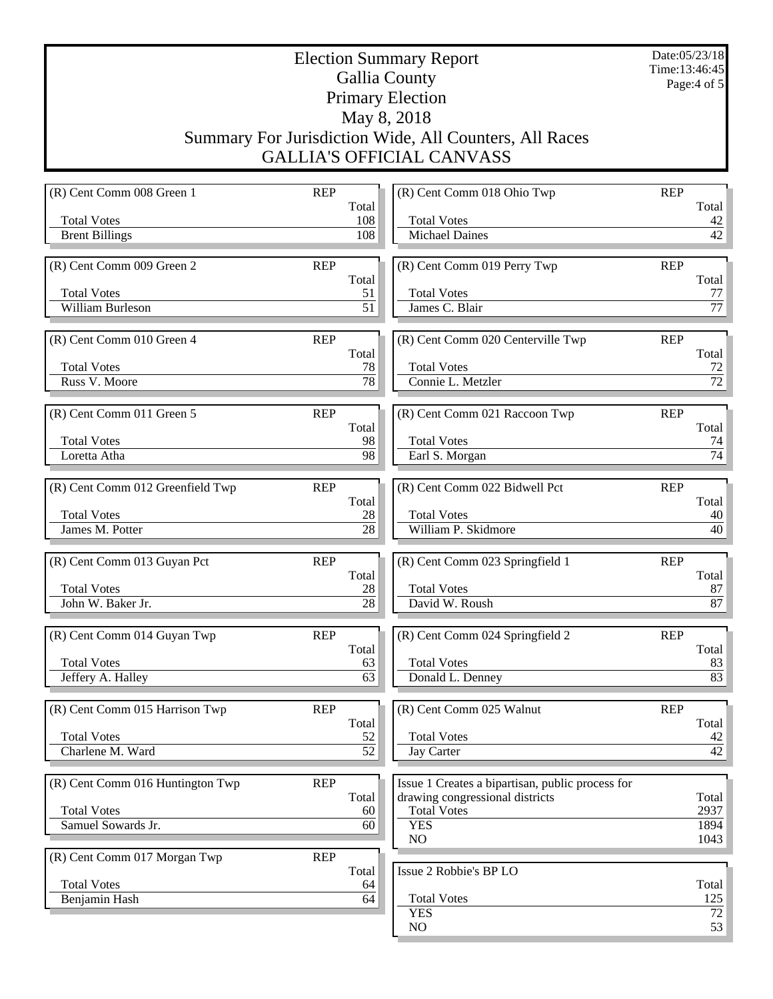Election Summary Report Gallia County Primary Election May 8, 2018 Summary For Jurisdiction Wide, All Counters, All Races GALLIA'S OFFICIAL CANVASS

Date:05/23/18 Time:13:46:45 Page:4 of 5

(R) Cent Comm 008 Green 1 REP Total Total Votes 108 Brent Billings 108 (R) Cent Comm 009 Green 2 REP Total Total Votes 51 William Burleson 51 (R) Cent Comm 010 Green 4 REP Total Total Votes 78 Russ V. Moore 78 (R) Cent Comm 011 Green 5 REP Total Total Votes 98 Loretta Atha 198 (R) Cent Comm 012 Greenfield Twp REP Total Total Votes 28 James M. Potter 28 (R) Cent Comm 013 Guyan Pct REP Total Total Votes 28 John W. Baker Jr. 28 (R) Cent Comm 014 Guyan Twp REP Total Total Votes 63 Jeffery A. Halley 63 (R) Cent Comm 015 Harrison Twp REP Total Total Votes 52<br>Charlene M. Ward 52  $Charlene M. Ward$ (R) Cent Comm 016 Huntington Twp REP Total Total Votes 60 Samuel Sowards Jr. 60 (R) Cent Comm 017 Morgan Twp REP Total Total Votes 64 Benjamin Hash 64 (R) Cent Comm 018 Ohio Twp REP Total Total Votes 42 Michael Daines 42 (R) Cent Comm 019 Perry Twp REP Total Total Votes 77 James C. Blair 77 (R) Cent Comm 020 Centerville Twp REP Total Total Votes 72<br>Connie L. Metzler 72<br>72 Connie L. Metzler (R) Cent Comm 021 Raccoon Twp REP Total Total Votes 74 Earl S. Morgan 74 (R) Cent Comm 022 Bidwell Pct REP Total Total Votes 40 William P. Skidmore 40 (R) Cent Comm 023 Springfield 1 REP Total Total Votes 87 David W. Roush 87 (R) Cent Comm 024 Springfield 2 REP Total Total Votes 83 Donald L. Denney 83 (R) Cent Comm 025 Walnut REP Total Total Votes 42<br>Jay Carter 42 Jay Carter Issue 1 Creates a bipartisan, public process for drawing congressional districts Total Total Votes 2937 YES 1894 NO 1043 Issue 2 Robbie's BP LO Total Total Votes 125 YES 72  $NO$  53